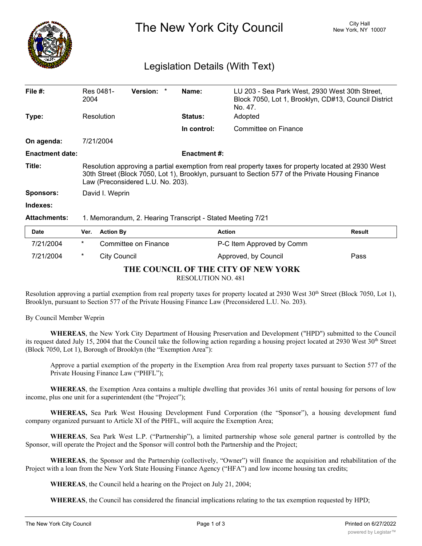

The New York City Council New York, NY 10007

## Legislation Details (With Text)

| File $#$ :             | Res 0481-<br>2004                                                                                                                                                                                                                             |                     | Version:             | * | Name:          | LU 203 - Sea Park West, 2930 West 30th Street,<br>Block 7050, Lot 1, Brooklyn, CD#13, Council District<br>No. 47. |               |
|------------------------|-----------------------------------------------------------------------------------------------------------------------------------------------------------------------------------------------------------------------------------------------|---------------------|----------------------|---|----------------|-------------------------------------------------------------------------------------------------------------------|---------------|
| Type:                  |                                                                                                                                                                                                                                               | Resolution          |                      |   | <b>Status:</b> | Adopted                                                                                                           |               |
|                        |                                                                                                                                                                                                                                               |                     |                      |   | In control:    | Committee on Finance                                                                                              |               |
| On agenda:             | 7/21/2004                                                                                                                                                                                                                                     |                     |                      |   |                |                                                                                                                   |               |
| <b>Enactment date:</b> | <b>Enactment #:</b>                                                                                                                                                                                                                           |                     |                      |   |                |                                                                                                                   |               |
| Title:                 | Resolution approving a partial exemption from real property taxes for property located at 2930 West<br>30th Street (Block 7050, Lot 1), Brooklyn, pursuant to Section 577 of the Private Housing Finance<br>Law (Preconsidered L.U. No. 203). |                     |                      |   |                |                                                                                                                   |               |
| <b>Sponsors:</b>       |                                                                                                                                                                                                                                               | David I. Weprin     |                      |   |                |                                                                                                                   |               |
| Indexes:               |                                                                                                                                                                                                                                               |                     |                      |   |                |                                                                                                                   |               |
| <b>Attachments:</b>    | 1. Memorandum, 2. Hearing Transcript - Stated Meeting 7/21                                                                                                                                                                                    |                     |                      |   |                |                                                                                                                   |               |
| <b>Date</b>            | Ver.                                                                                                                                                                                                                                          | <b>Action By</b>    |                      |   |                | <b>Action</b>                                                                                                     | <b>Result</b> |
| 7/21/2004              | $^\star$                                                                                                                                                                                                                                      |                     | Committee on Finance |   |                | P-C Item Approved by Comm                                                                                         |               |
| 7/21/2004              | $^\star$                                                                                                                                                                                                                                      | <b>City Council</b> |                      |   |                | Approved, by Council                                                                                              | Pass          |

**THE COUNCIL OF THE CITY OF NEW YORK**

RESOLUTION NO. 481

Resolution approving a partial exemption from real property taxes for property located at 2930 West  $30<sup>th</sup>$  Street (Block 7050, Lot 1), Brooklyn, pursuant to Section 577 of the Private Housing Finance Law (Preconsidered L.U. No. 203).

By Council Member Weprin

**WHEREAS**, the New York City Department of Housing Preservation and Development ("HPD") submitted to the Council its request dated July 15, 2004 that the Council take the following action regarding a housing project located at 2930 West 30<sup>th</sup> Street (Block 7050, Lot 1), Borough of Brooklyn (the "Exemption Area"):

Approve a partial exemption of the property in the Exemption Area from real property taxes pursuant to Section 577 of the Private Housing Finance Law ("PHFL");

**WHEREAS**, the Exemption Area contains a multiple dwelling that provides 361 units of rental housing for persons of low income, plus one unit for a superintendent (the "Project");

**WHEREAS,** Sea Park West Housing Development Fund Corporation (the "Sponsor"), a housing development fund company organized pursuant to Article XI of the PHFL, will acquire the Exemption Area;

**WHEREAS**, Sea Park West L.P. ("Partnership"), a limited partnership whose sole general partner is controlled by the Sponsor, will operate the Project and the Sponsor will control both the Partnership and the Project;

**WHEREAS**, the Sponsor and the Partnership (collectively, "Owner") will finance the acquisition and rehabilitation of the Project with a loan from the New York State Housing Finance Agency ("HFA") and low income housing tax credits;

**WHEREAS**, the Council held a hearing on the Project on July 21, 2004;

**WHEREAS**, the Council has considered the financial implications relating to the tax exemption requested by HPD;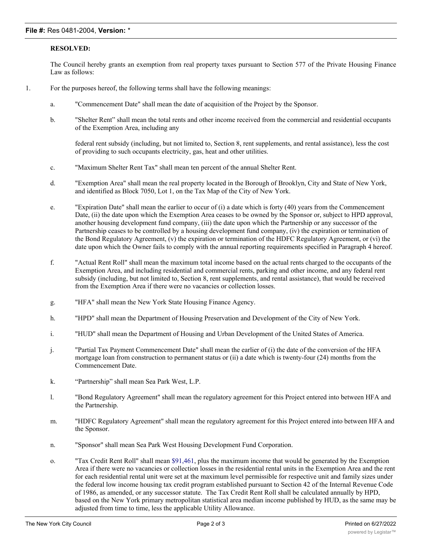## **RESOLVED:**

The Council hereby grants an exemption from real property taxes pursuant to Section 577 of the Private Housing Finance Law as follows:

- 1. For the purposes hereof, the following terms shall have the following meanings:
	- a. "Commencement Date" shall mean the date of acquisition of the Project by the Sponsor.
	- b. "Shelter Rent" shall mean the total rents and other income received from the commercial and residential occupants of the Exemption Area, including any

federal rent subsidy (including, but not limited to, Section 8, rent supplements, and rental assistance), less the cost of providing to such occupants electricity, gas, heat and other utilities.

- c. "Maximum Shelter Rent Tax" shall mean ten percent of the annual Shelter Rent.
- d. "Exemption Area" shall mean the real property located in the Borough of Brooklyn, City and State of New York, and identified as Block 7050, Lot 1, on the Tax Map of the City of New York.
- e. "Expiration Date" shall mean the earlier to occur of  $(i)$  a date which is forty (40) years from the Commencement Date, (ii) the date upon which the Exemption Area ceases to be owned by the Sponsor or, subject to HPD approval, another housing development fund company, (iii) the date upon which the Partnership or any successor of the Partnership ceases to be controlled by a housing development fund company, (iv) the expiration or termination of the Bond Regulatory Agreement, (v) the expiration or termination of the HDFC Regulatory Agreement, or (vi) the date upon which the Owner fails to comply with the annual reporting requirements specified in Paragraph 4 hereof.
- f. "Actual Rent Roll" shall mean the maximum total income based on the actual rents charged to the occupants of the Exemption Area, and including residential and commercial rents, parking and other income, and any federal rent subsidy (including, but not limited to, Section 8, rent supplements, and rental assistance), that would be received from the Exemption Area if there were no vacancies or collection losses.
- g. "HFA" shall mean the New York State Housing Finance Agency.
- h. "HPD" shall mean the Department of Housing Preservation and Development of the City of New York.
- i. "HUD" shall mean the Department of Housing and Urban Development of the United States of America.
- j. "Partial Tax Payment Commencement Date" shall mean the earlier of (i) the date of the conversion of the HFA mortgage loan from construction to permanent status or (ii) a date which is twenty-four (24) months from the Commencement Date.
- k. "Partnership" shall mean Sea Park West, L.P.
- l. "Bond Regulatory Agreement" shall mean the regulatory agreement for this Project entered into between HFA and the Partnership.
- m. "HDFC Regulatory Agreement" shall mean the regulatory agreement for this Project entered into between HFA and the Sponsor.
- n. "Sponsor" shall mean Sea Park West Housing Development Fund Corporation.
- o. "Tax Credit Rent Roll" shall mean \$91,461, plus the maximum income that would be generated by the Exemption Area if there were no vacancies or collection losses in the residential rental units in the Exemption Area and the rent for each residential rental unit were set at the maximum level permissible for respective unit and family sizes under the federal low income housing tax credit program established pursuant to Section 42 of the Internal Revenue Code of 1986, as amended, or any successor statute. The Tax Credit Rent Roll shall be calculated annually by HPD, based on the New York primary metropolitan statistical area median income published by HUD, as the same may be adjusted from time to time, less the applicable Utility Allowance.